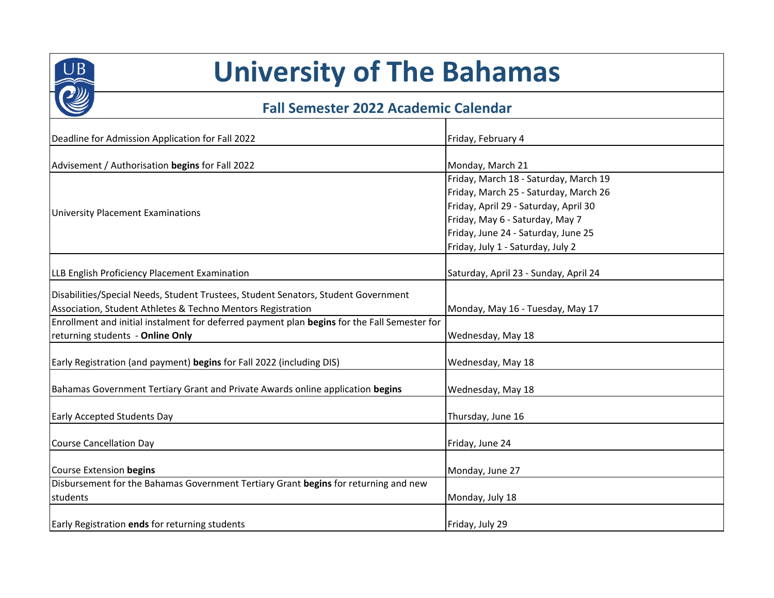

## **University of The Bahamas**

## **Fall Semester 2022 Academic Calendar**

| Deadline for Admission Application for Fall 2022                                             | Friday, February 4                    |
|----------------------------------------------------------------------------------------------|---------------------------------------|
|                                                                                              |                                       |
| Advisement / Authorisation begins for Fall 2022                                              | Monday, March 21                      |
| <b>University Placement Examinations</b>                                                     | Friday, March 18 - Saturday, March 19 |
|                                                                                              | Friday, March 25 - Saturday, March 26 |
|                                                                                              | Friday, April 29 - Saturday, April 30 |
|                                                                                              | Friday, May 6 - Saturday, May 7       |
|                                                                                              | Friday, June 24 - Saturday, June 25   |
|                                                                                              | Friday, July 1 - Saturday, July 2     |
| LLB English Proficiency Placement Examination                                                | Saturday, April 23 - Sunday, April 24 |
| Disabilities/Special Needs, Student Trustees, Student Senators, Student Government           |                                       |
| Association, Student Athletes & Techno Mentors Registration                                  | Monday, May 16 - Tuesday, May 17      |
| Enrollment and initial instalment for deferred payment plan begins for the Fall Semester for |                                       |
| returning students - Online Only                                                             | Wednesday, May 18                     |
|                                                                                              |                                       |
| Early Registration (and payment) begins for Fall 2022 (including DIS)                        | Wednesday, May 18                     |
| Bahamas Government Tertiary Grant and Private Awards online application begins               | Wednesday, May 18                     |
| <b>Early Accepted Students Day</b>                                                           |                                       |
|                                                                                              | Thursday, June 16                     |
| <b>Course Cancellation Day</b>                                                               | Friday, June 24                       |
| Course Extension begins                                                                      | Monday, June 27                       |
| Disbursement for the Bahamas Government Tertiary Grant begins for returning and new          |                                       |
| students                                                                                     | Monday, July 18                       |
| Early Registration ends for returning students                                               | Friday, July 29                       |
|                                                                                              |                                       |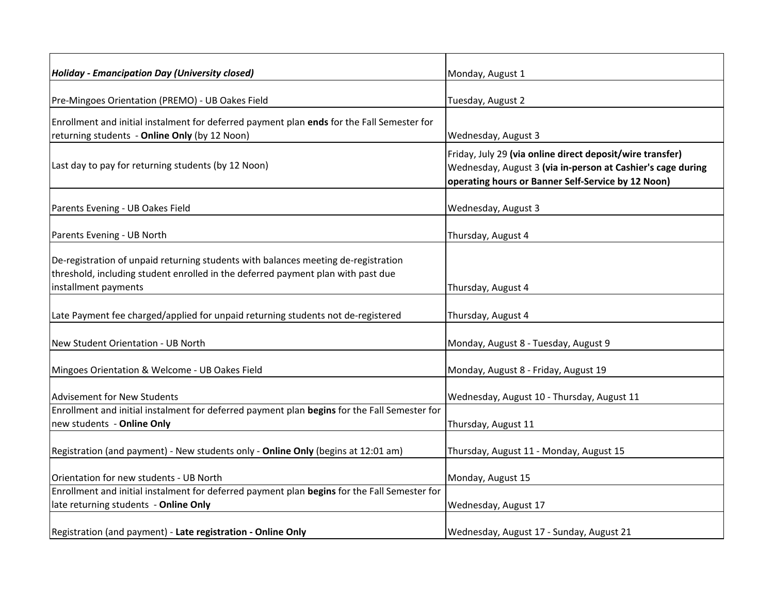| Holiday - Emancipation Day (University closed)                                                                                                                                                 | Monday, August 1                                                                                                                                                               |
|------------------------------------------------------------------------------------------------------------------------------------------------------------------------------------------------|--------------------------------------------------------------------------------------------------------------------------------------------------------------------------------|
| Pre-Mingoes Orientation (PREMO) - UB Oakes Field                                                                                                                                               | Tuesday, August 2                                                                                                                                                              |
| Enrollment and initial instalment for deferred payment plan ends for the Fall Semester for<br>returning students - Online Only (by 12 Noon)                                                    | Wednesday, August 3                                                                                                                                                            |
| Last day to pay for returning students (by 12 Noon)                                                                                                                                            | Friday, July 29 (via online direct deposit/wire transfer)<br>Wednesday, August 3 (via in-person at Cashier's cage during<br>operating hours or Banner Self-Service by 12 Noon) |
| Parents Evening - UB Oakes Field                                                                                                                                                               | Wednesday, August 3                                                                                                                                                            |
| Parents Evening - UB North                                                                                                                                                                     | Thursday, August 4                                                                                                                                                             |
| De-registration of unpaid returning students with balances meeting de-registration<br>threshold, including student enrolled in the deferred payment plan with past due<br>installment payments | Thursday, August 4                                                                                                                                                             |
| Late Payment fee charged/applied for unpaid returning students not de-registered                                                                                                               | Thursday, August 4                                                                                                                                                             |
| New Student Orientation - UB North                                                                                                                                                             | Monday, August 8 - Tuesday, August 9                                                                                                                                           |
| Mingoes Orientation & Welcome - UB Oakes Field                                                                                                                                                 | Monday, August 8 - Friday, August 19                                                                                                                                           |
| <b>Advisement for New Students</b>                                                                                                                                                             | Wednesday, August 10 - Thursday, August 11                                                                                                                                     |
| Enrollment and initial instalment for deferred payment plan begins for the Fall Semester for<br>new students - Online Only                                                                     | Thursday, August 11                                                                                                                                                            |
| Registration (and payment) - New students only - Online Only (begins at 12:01 am)                                                                                                              | Thursday, August 11 - Monday, August 15                                                                                                                                        |
| Orientation for new students - UB North                                                                                                                                                        | Monday, August 15                                                                                                                                                              |
| Enrollment and initial instalment for deferred payment plan begins for the Fall Semester for<br>late returning students - Online Only                                                          | Wednesday, August 17                                                                                                                                                           |
| Registration (and payment) - Late registration - Online Only                                                                                                                                   | Wednesday, August 17 - Sunday, August 21                                                                                                                                       |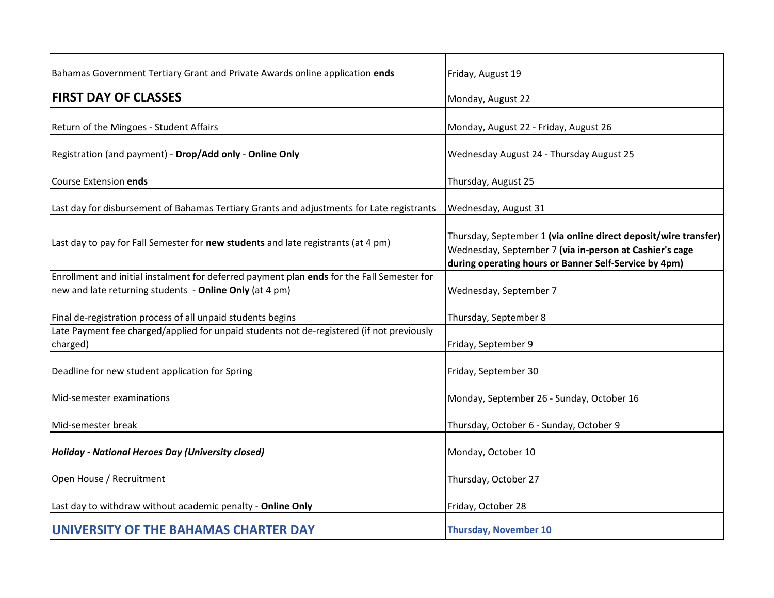| Bahamas Government Tertiary Grant and Private Awards online application ends                          | Friday, August 19                                                                                                                                                                   |
|-------------------------------------------------------------------------------------------------------|-------------------------------------------------------------------------------------------------------------------------------------------------------------------------------------|
| <b>FIRST DAY OF CLASSES</b>                                                                           | Monday, August 22                                                                                                                                                                   |
| Return of the Mingoes - Student Affairs                                                               | Monday, August 22 - Friday, August 26                                                                                                                                               |
| Registration (and payment) - Drop/Add only - Online Only                                              | Wednesday August 24 - Thursday August 25                                                                                                                                            |
| Course Extension ends                                                                                 | Thursday, August 25                                                                                                                                                                 |
| Last day for disbursement of Bahamas Tertiary Grants and adjustments for Late registrants             | Wednesday, August 31                                                                                                                                                                |
| Last day to pay for Fall Semester for new students and late registrants (at 4 pm)                     | Thursday, September 1 (via online direct deposit/wire transfer)<br>Wednesday, September 7 (via in-person at Cashier's cage<br>during operating hours or Banner Self-Service by 4pm) |
| Enrollment and initial instalment for deferred payment plan ends for the Fall Semester for            |                                                                                                                                                                                     |
| new and late returning students - Online Only (at 4 pm)                                               | Wednesday, September 7                                                                                                                                                              |
| Final de-registration process of all unpaid students begins                                           | Thursday, September 8                                                                                                                                                               |
| Late Payment fee charged/applied for unpaid students not de-registered (if not previously<br>charged) | Friday, September 9                                                                                                                                                                 |
| Deadline for new student application for Spring                                                       | Friday, September 30                                                                                                                                                                |
| Mid-semester examinations                                                                             | Monday, September 26 - Sunday, October 16                                                                                                                                           |
| Mid-semester break                                                                                    | Thursday, October 6 - Sunday, October 9                                                                                                                                             |
| <b>Holiday - National Heroes Day (University closed)</b>                                              | Monday, October 10                                                                                                                                                                  |
| Open House / Recruitment                                                                              | Thursday, October 27                                                                                                                                                                |
| Last day to withdraw without academic penalty - Online Only                                           | Friday, October 28                                                                                                                                                                  |
| UNIVERSITY OF THE BAHAMAS CHARTER DAY                                                                 | <b>Thursday, November 10</b>                                                                                                                                                        |